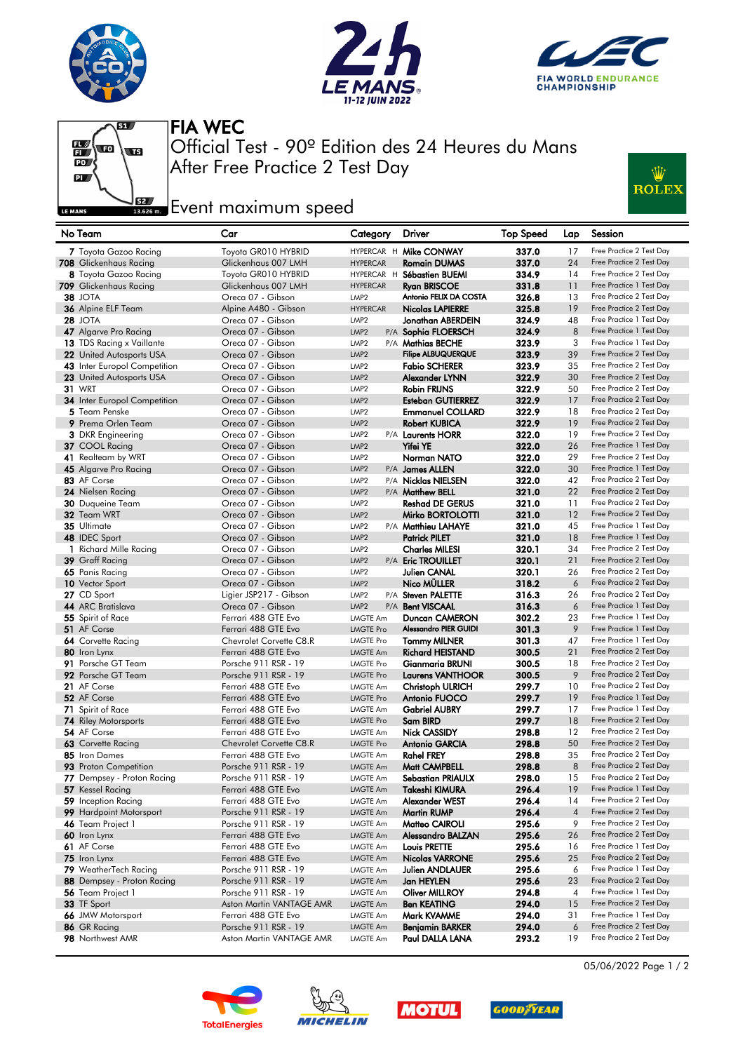







After Free Practice 2 Test Day Official Test - 90º Edition des 24 Heures du Mans FIA WEC

## **Experience Event maximum speed**



| No Team                                        | Car                                         | Category                            | <b>Driver</b>                       | <b>Top Speed</b> | Lap            | Session                                              |
|------------------------------------------------|---------------------------------------------|-------------------------------------|-------------------------------------|------------------|----------------|------------------------------------------------------|
| 7 Toyota Gazoo Racing                          | Toyota GR010 HYBRID                         |                                     | HYPERCAR H Mike CONWAY              | 337.0            | 17             | Free Practice 2 Test Day                             |
| 708 Glickenhaus Racing                         | Glickenhaus 007 LMH                         | <b>HYPERCAR</b>                     | <b>Romain DUMAS</b>                 | 337.0            | 24             | Free Practice 2 Test Day                             |
| 8 Toyota Gazoo Racing                          | Toyota GR010 HYBRID                         |                                     | HYPERCAR H Sébastien BUEMI          | 334.9            | 14             | Free Practice 2 Test Day                             |
| 709 Glickenhaus Racing                         | Glickenhaus 007 LMH                         | <b>HYPERCAR</b>                     | <b>Ryan BRISCOE</b>                 | 331.8            | 11             | Free Practice 1 Test Day                             |
| 38 JOTA                                        | Oreca 07 - Gibson                           | LMP <sub>2</sub>                    | Antonio FELIX DA COSTA              | 326.8            | 13             | Free Practice 2 Test Day                             |
| 36 Alpine ELF Team                             | Alpine A480 - Gibson                        | <b>HYPERCAR</b>                     | <b>Nicolas LAPIERRE</b>             | 325.8            | 19             | Free Practice 2 Test Day                             |
| <b>28 JOTA</b>                                 | Oreca 07 - Gibson                           | LMP <sub>2</sub>                    | Jonathan ABERDEIN                   | 324.9            | 48             | Free Practice 1 Test Day                             |
| 47 Algarve Pro Racing                          | Oreca 07 - Gibson                           | LMP <sub>2</sub>                    | P/A Sophia FLOERSCH                 | 324.9            | 8              | Free Practice 1 Test Day                             |
| 13 TDS Racing x Vaillante                      | Oreca 07 - Gibson                           | LMP <sub>2</sub>                    | P/A Mathias BECHE                   | 323.9            | 3              | Free Practice 1 Test Day                             |
| 22 United Autosports USA                       | Oreca 07 - Gibson                           | LMP <sub>2</sub>                    | <b>Filipe ALBUQUERQUE</b>           | 323.9            | 39             | Free Practice 2 Test Day                             |
| 43 Inter Europol Competition                   | Oreca 07 - Gibson                           | LMP <sub>2</sub>                    | <b>Fabio SCHERER</b>                | 323.9            | 35             | Free Practice 2 Test Day                             |
| 23 United Autosports USA                       | Oreca 07 - Gibson                           | LMP <sub>2</sub>                    | Alexander LYNN                      | 322.9            | 30             | Free Practice 2 Test Day                             |
| <b>31 WRT</b>                                  | Oreca 07 - Gibson                           | LMP <sub>2</sub>                    | Robin FRIJNS                        | 322.9            | 50             | Free Practice 2 Test Day                             |
| 34 Inter Europol Competition                   | Oreca 07 - Gibson                           | LMP <sub>2</sub>                    | <b>Esteban GUTIERREZ</b>            | 322.9            | 17             | Free Practice 2 Test Day                             |
| 5 Team Penske                                  | Oreca 07 - Gibson                           | LMP <sub>2</sub>                    | <b>Emmanuel COLLARD</b>             | 322.9            | 18             | Free Practice 2 Test Day                             |
| 9 Prema Orlen Team                             | Oreca 07 - Gibson                           | LMP <sub>2</sub>                    | <b>Robert KUBICA</b>                | 322.9            | 19             | Free Practice 2 Test Day                             |
| <b>3</b> DKR Engineering                       | Oreca 07 - Gibson                           | LMP <sub>2</sub>                    | P/A Laurents HORR                   | 322.0            | 19             | Free Practice 2 Test Day                             |
| 37 COOL Racing                                 | Oreca 07 - Gibson                           | LMP <sub>2</sub>                    | Yifei YE                            | 322.0            | 26             | Free Practice 1 Test Day                             |
| <b>41</b> Realteam by WRT                      | Oreca 07 - Gibson                           | LMP <sub>2</sub>                    | Norman NATO                         | 322.0            | 29             | Free Practice 2 Test Day                             |
| 45 Algarve Pro Racing                          | Oreca 07 - Gibson                           | LMP <sub>2</sub>                    | P/A James ALLEN                     | 322.0            | 30             | Free Practice 1 Test Day                             |
| 83 AF Corse                                    | Oreca 07 - Gibson                           | LMP <sub>2</sub>                    | P/A Nicklas NIELSEN                 | 322.0            | 42             | Free Practice 2 Test Day                             |
| 24 Nielsen Racing                              | Oreca 07 - Gibson                           | LMP <sub>2</sub>                    | P/A Matthew BELL                    | 321.0            | 22             | Free Practice 2 Test Day                             |
| 30 Duqueine Team                               | Oreca 07 - Gibson                           | LMP <sub>2</sub>                    | <b>Reshad DE GERUS</b>              | 321.0            | 11             | Free Practice 2 Test Day                             |
| 32 Team WRT                                    | Oreca 07 - Gibson                           | LMP <sub>2</sub>                    | Mirko BORTOLOTTI                    | 321.0            | 12             | Free Practice 2 Test Day                             |
| 35 Ultimate                                    | Oreca 07 - Gibson                           | LMP <sub>2</sub>                    | P/A Matthieu LAHAYE                 | 321.0            | 45             | Free Practice 1 Test Day                             |
| 48 IDEC Sport                                  | Oreca 07 - Gibson                           | LMP <sub>2</sub>                    | <b>Patrick PILET</b>                | 321.0            | 18             | Free Practice 1 Test Day                             |
| 1 Richard Mille Racing                         | Oreca 07 - Gibson                           | LMP <sub>2</sub>                    | <b>Charles MILESI</b>               | 320.1            | 34             | Free Practice 2 Test Day                             |
| 39 Graff Racing                                | Oreca 07 - Gibson                           | LMP <sub>2</sub>                    | P/A Eric TROUILLET                  | 320.1            | 21             | Free Practice 2 Test Day                             |
| 65 Panis Racing                                | Oreca 07 - Gibson                           | LMP <sub>2</sub>                    | <b>Julien CANAL</b>                 | 320.1            | 26             | Free Practice 2 Test Day                             |
| 10 Vector Sport                                | Oreca 07 - Gibson                           | LMP <sub>2</sub>                    | Nico MÜLLER                         | 318.2            | 6              | Free Practice 2 Test Day                             |
| 27 CD Sport                                    | Ligier JSP217 - Gibson                      | LMP <sub>2</sub>                    | P/A Steven PALETTE                  | 316.3            | 26             | Free Practice 2 Test Day                             |
| 44 ARC Bratislava                              | Oreca 07 - Gibson                           | LMP <sub>2</sub>                    | P/A Bent VISCAAL                    | 316.3            | 6              | Free Practice 1 Test Day                             |
| 55 Spirit of Race                              | Ferrari 488 GTE Evo                         | LMGTE Am                            | Duncan CAMERON                      | 302.2            | 23             | Free Practice 1 Test Day                             |
| 51 AF Corse                                    | Ferrari 488 GTE Evo                         | <b>LMGTE Pro</b>                    | <b>Alessandro PIER GUIDI</b>        | 301.3            | 9              | Free Practice 1 Test Day                             |
| <b>64</b> Corvette Racing                      | Chevrolet Corvette C8.R                     | <b>LMGTE Pro</b>                    | <b>Tommy MILNER</b>                 | 301.3            | 47             | Free Practice 1 Test Day                             |
| 80 Iron Lynx                                   | Ferrari 488 GTE Evo                         | <b>LMGTE Am</b>                     | Richard HEISTAND                    | 300.5            | 21             | Free Practice 2 Test Day                             |
| 91 Porsche GT Team                             | Porsche 911 RSR - 19                        | <b>LMGTE Pro</b>                    | Gianmaria BRUNI                     | 300.5            | 18             | Free Practice 2 Test Day                             |
| 92 Porsche GT Team                             | Porsche 911 RSR - 19                        | <b>LMGTE Pro</b>                    | <b>Laurens VANTHOOR</b>             | 300.5            | 9              | Free Practice 2 Test Day                             |
| 21 AF Corse                                    | Ferrari 488 GTE Evo                         | <b>LMGTE Am</b>                     | <b>Christoph ULRICH</b>             | 299.7            | 10             | Free Practice 2 Test Day                             |
| 52 AF Corse                                    | Ferrari 488 GTE Evo                         | <b>LMGTE Pro</b>                    | Antonio FUOCO                       | 299.7            | 19             | Free Practice 1 Test Day                             |
| 71 Spirit of Race                              | Ferrari 488 GTE Evo                         | LMGTE Am                            | <b>Gabriel AUBRY</b>                | 299.7            | 17             | Free Practice 1 Test Day                             |
| <b>74 Riley Motorsports</b>                    | Ferrari 488 GTE Evo                         | <b>LMGTE Pro</b>                    | Sam BIRD                            | 299.7            | 18             | Free Practice 2 Test Day                             |
| 54 AF Corse                                    | Ferrari 488 GTE Evo                         | <b>LMGTE Am</b><br><b>LMGTE Pro</b> | <b>Nick CASSIDY</b>                 | 298.8            | 12<br>50       | Free Practice 2 Test Day<br>Free Practice 2 Test Day |
| 63 Corvette Racing                             | Chevrolet Corvette C8.R                     | <b>LMGTE Am</b>                     | <b>Antonio GARCIA</b>               | 298.8            | 35             | Free Practice 2 Test Day                             |
| 85 Iron Dames<br>93 Proton Competition         | Ferrari 488 GTE Evo                         |                                     | <b>Rahel FREY</b>                   | 298.8            | 8              | Free Practice 2 Test Day                             |
|                                                | Porsche 911 RSR - 19                        | <b>LMGTE Am</b>                     | Matt CAMPBELL                       | 298.8            | 15             | Free Practice 2 Test Day                             |
| 77 Dempsey - Proton Racing<br>57 Kessel Racing | Porsche 911 RSR - 19<br>Ferrari 488 GTE Evo | LMGTE Am                            | Sebastian PRIAULX<br>Takeshi KIMURA | 298.0<br>296.4   | 19             | Free Practice 1 Test Day                             |
| 59 Inception Racing                            | Ferrari 488 GTE Evo                         | <b>LMGTE Am</b><br><b>LMGTE Am</b>  | Alexander WEST                      | 296.4            | 14             | Free Practice 2 Test Day                             |
| 99 Hardpoint Motorsport                        | Porsche 911 RSR - 19                        | <b>LMGTE Am</b>                     | <b>Martin RUMP</b>                  | 296.4            | $\overline{4}$ | Free Practice 2 Test Day                             |
| 46 Team Project 1                              | Porsche 911 RSR - 19                        | LMGTE Am                            | Matteo CAIROLI                      | 295.6            | 9              | Free Practice 2 Test Day                             |
| 60 Iron Lynx                                   | Ferrari 488 GTE Evo                         | <b>LMGTE Am</b>                     | <b>Alessandro BALZAN</b>            | 295.6            | 26             | Free Practice 2 Test Day                             |
| 61 AF Corse                                    | Ferrari 488 GTE Evo                         | LMGTE Am                            | Louis PRETTE                        | 295.6            | 16             | Free Practice 1 Test Day                             |
| 75 Iron Lynx                                   | Ferrari 488 GTE Evo                         | <b>LMGTE Am</b>                     | <b>Nicolas VARRONE</b>              | 295.6            | 25             | Free Practice 2 Test Day                             |
| 79 WeatherTech Racing                          | Porsche 911 RSR - 19                        | LMGTE Am                            | Julien ANDLAUER                     | 295.6            | 6              | Free Practice 1 Test Day                             |
| 88 Dempsey - Proton Racing                     | Porsche 911 RSR - 19                        | <b>LMGTE Am</b>                     | Jan HEYLEN                          | 295.6            | 23             | Free Practice 2 Test Day                             |
| <b>56</b> Team Project 1                       | Porsche 911 RSR - 19                        | LMGTE Am                            | Oliver MILLROY                      | 294.8            | 4              | Free Practice 1 Test Day                             |
| 33 TF Sport                                    | Aston Martin VANTAGE AMR                    | <b>LMGTE Am</b>                     | <b>Ben KEATING</b>                  | 294.0            | 15             | Free Practice 2 Test Day                             |
| 66 JMW Motorsport                              | Ferrari 488 GTE Evo                         | <b>LMGTE Am</b>                     | Mark KVAMME                         | 294.0            | 31             | Free Practice 1 Test Day                             |
| 86 GR Racing                                   | Porsche 911 RSR - 19                        | LMGTE Am                            | Benjamin BARKER                     | 294.0            | 6              | Free Practice 2 Test Day                             |
| 98 Northwest AMR                               | Aston Martin VANTAGE AMR                    | <b>LMGTE Am</b>                     | Paul DALLA LANA                     | 293.2            | 19             | Free Practice 2 Test Day                             |
|                                                |                                             |                                     |                                     |                  |                |                                                      |









05/06/2022 Page 1 / 2